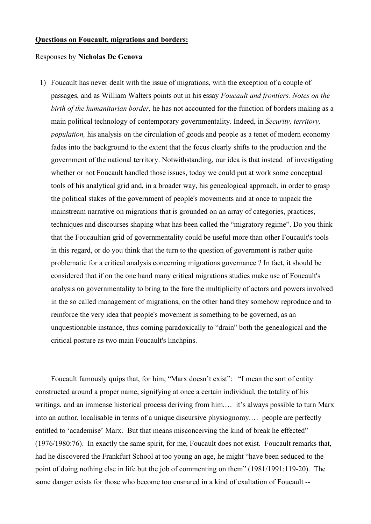## **Questions on Foucault, migrations and borders:**

### Responses by **Nicholas De Genova**

1) Foucault has never dealt with the issue of migrations, with the exception of a couple of passages, and as William Walters points out in his essay *Foucault and frontiers. Notes on the birth of the humanitarian border,* he has not accounted for the function of borders making as a main political technology of contemporary governmentality. Indeed, in *Security, territory, population,* his analysis on the circulation of goods and people as a tenet of modern economy fades into the background to the extent that the focus clearly shifts to the production and the government of the national territory. Notwithstanding, our idea is that instead of investigating whether or not Foucault handled those issues, today we could put at work some conceptual tools of his analytical grid and, in a broader way, his genealogical approach, in order to grasp the political stakes of the government of people's movements and at once to unpack the mainstream narrative on migrations that is grounded on an array of categories, practices, techniques and discourses shaping what has been called the "migratory regime". Do you think that the Foucaultian grid of governmentality could be useful more than other Foucault's tools in this regard, or do you think that the turn to the question of government is rather quite problematic for a critical analysis concerning migrations governance ? In fact, it should be considered that if on the one hand many critical migrations studies make use of Foucault's analysis on governmentality to bring to the fore the multiplicity of actors and powers involved in the so called management of migrations, on the other hand they somehow reproduce and to reinforce the very idea that people's movement is something to be governed, as an unquestionable instance, thus coming paradoxically to "drain" both the genealogical and the critical posture as two main Foucault's linchpins.

Foucault famously quips that, for him, "Marx doesn't exist": "I mean the sort of entity constructed around a proper name, signifying at once a certain individual, the totality of his writings, and an immense historical process deriving from him.… it's always possible to turn Marx into an author, localisable in terms of a unique discursive physiognomy.… people are perfectly entitled to 'academise' Marx. But that means misconceiving the kind of break he effected" (1976/1980:76). In exactly the same spirit, for me, Foucault does not exist. Foucault remarks that, had he discovered the Frankfurt School at too young an age, he might "have been seduced to the point of doing nothing else in life but the job of commenting on them" (1981/1991:119-20). The same danger exists for those who become too ensnared in a kind of exaltation of Foucault --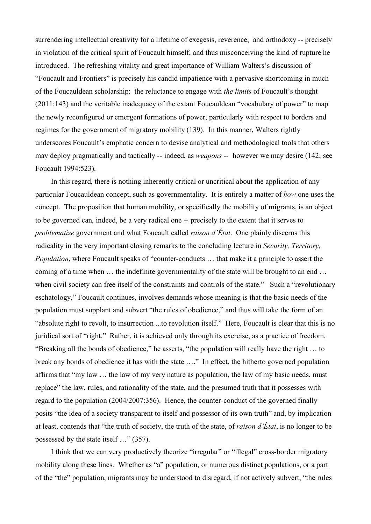surrendering intellectual creativity for a lifetime of exegesis, reverence, and orthodoxy -- precisely in violation of the critical spirit of Foucault himself, and thus misconceiving the kind of rupture he introduced. The refreshing vitality and great importance of William Walters's discussion of "Foucault and Frontiers" is precisely his candid impatience with a pervasive shortcoming in much of the Foucauldean scholarship: the reluctance to engage with *the limits* of Foucault's thought (2011:143) and the veritable inadequacy of the extant Foucauldean "vocabulary of power" to map the newly reconfigured or emergent formations of power, particularly with respect to borders and regimes for the government of migratory mobility (139). In this manner, Walters rightly underscores Foucault's emphatic concern to devise analytical and methodological tools that others may deploy pragmatically and tactically -- indeed, as *weapons* -- however we may desire (142; see Foucault 1994:523).

In this regard, there is nothing inherently critical or uncritical about the application of any particular Foucauldean concept, such as governmentality. It is entirely a matter of *how* one uses the concept. The proposition that human mobility, or specifically the mobility of migrants, is an object to be governed can, indeed, be a very radical one -- precisely to the extent that it serves to *problematize* government and what Foucault called *raison d'État*. One plainly discerns this radicality in the very important closing remarks to the concluding lecture in *Security, Territory, Population*, where Foucault speaks of "counter-conducts … that make it a principle to assert the coming of a time when … the indefinite governmentality of the state will be brought to an end … when civil society can free itself of the constraints and controls of the state." Such a "revolutionary" eschatology," Foucault continues, involves demands whose meaning is that the basic needs of the population must supplant and subvert "the rules of obedience," and thus will take the form of an "absolute right to revolt, to insurrection ...to revolution itself." Here, Foucault is clear that this is no juridical sort of "right." Rather, it is achieved only through its exercise, as a practice of freedom. "Breaking all the bonds of obedience," he asserts, "the population will really have the right … to break any bonds of obedience it has with the state …." In effect, the hitherto governed population affirms that "my law … the law of my very nature as population, the law of my basic needs, must replace" the law, rules, and rationality of the state, and the presumed truth that it possesses with regard to the population (2004/2007:356). Hence, the counter-conduct of the governed finally posits "the idea of a society transparent to itself and possessor of its own truth" and, by implication at least, contends that "the truth of society, the truth of the state, of *raison d'État*, is no longer to be possessed by the state itself …" (357).

I think that we can very productively theorize "irregular" or "illegal" cross-border migratory mobility along these lines. Whether as "a" population, or numerous distinct populations, or a part of the "the" population, migrants may be understood to disregard, if not actively subvert, "the rules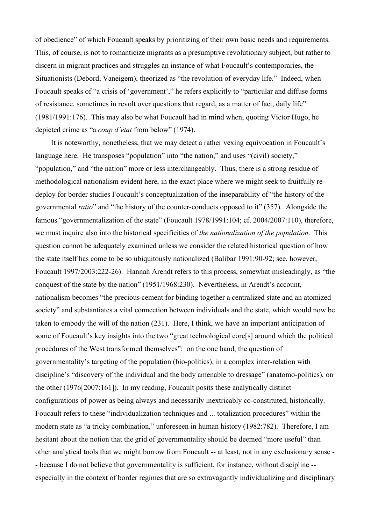of obedience" of which Foucault speaks by prioritizing of their own basic needs and requirements. This, of course, is not to romanticize migrants as a presumptive revolutionary subject, but rather to discern in migrant practices and struggles an instance of what Foucault's contemporaries, the Situationists (Debord, Vaneigem), theorized as "the revolution of everyday life." Indeed, when Foucault speaks of "a crisis of 'government'," he refers explicitly to "particular and diffuse forms of resistance, sometimes in revolt over questions that regard, as a matter of fact, daily life" (1981/1991:176). This may also be what Foucault had in mind when, quoting Victor Hugo, he depicted crime as "a *coup d'état* from below" (1974).

It is noteworthy, nonetheless, that we may detect a rather vexing equivocation in Foucault's language here. He transposes "population" into "the nation," and uses "(civil) society," "population," and "the nation" more or less interchangeably. Thus, there is a strong residue of methodological nationalism evident here, in the exact place where we might seek to fruitfully redeploy for border studies Foucault's conceptualization of the inseparability of "the history of the governmental *ratio*" and "the history of the counter-conducts opposed to it" (357). Alongside the famous "governmentalization of the state" (Foucault 1978/1991:104; cf. 2004/2007:110), therefore, we must inquire also into the historical specificities of *the nationalization of the population*. This question cannot be adequately examined unless we consider the related historical question of how the state itself has come to be so ubiquitously nationalized (Balibar 1991:90-92; see, however, Foucault 1997/2003:222-26). Hannah Arendt refers to this process, somewhat misleadingly, as "the conquest of the state by the nation" (1951/1968:230). Nevertheless, in Arendt's account, nationalism becomes "the precious cement for binding together a centralized state and an atomized society" and substantiates a vital connection between individuals and the state, which would now be taken to embody the will of the nation (231). Here, I think, we have an important anticipation of some of Foucault's key insights into the two "great technological core[s] around which the political procedures of the West transformed themselves": on the one hand, the question of governmentality's targeting of the population (bio-politics), in a complex inter-relation with discipline's "discovery of the individual and the body amenable to dressage" (anatomo-politics), on the other (1976[2007:161]). In my reading, Foucault posits these analytically distinct configurations of power as being always and necessarily inextricably co-constituted, historically. Foucault refers to these "individualization techniques and ... totalization procedures" within the modern state as "a tricky combination," unforeseen in human history (1982:782). Therefore, I am hesitant about the notion that the grid of governmentality should be deemed "more useful" than other analytical tools that we might borrow from Foucault -- at least, not in any exclusionary sense - - because I do not believe that governmentality is sufficient, for instance, without discipline - especially in the context of border regimes that are so extravagantly individualizing and disciplinary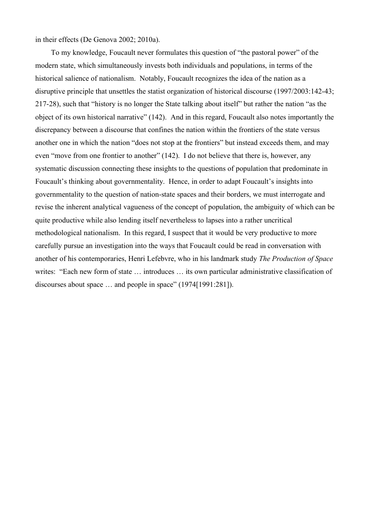in their effects (De Genova 2002; 2010a).

To my knowledge, Foucault never formulates this question of "the pastoral power" of the modern state, which simultaneously invests both individuals and populations, in terms of the historical salience of nationalism. Notably, Foucault recognizes the idea of the nation as a disruptive principle that unsettles the statist organization of historical discourse (1997/2003:142-43; 217-28), such that "history is no longer the State talking about itself" but rather the nation "as the object of its own historical narrative" (142). And in this regard, Foucault also notes importantly the discrepancy between a discourse that confines the nation within the frontiers of the state versus another one in which the nation "does not stop at the frontiers" but instead exceeds them, and may even "move from one frontier to another" (142). I do not believe that there is, however, any systematic discussion connecting these insights to the questions of population that predominate in Foucault's thinking about governmentality. Hence, in order to adapt Foucault's insights into governmentality to the question of nation-state spaces and their borders, we must interrogate and revise the inherent analytical vagueness of the concept of population, the ambiguity of which can be quite productive while also lending itself nevertheless to lapses into a rather uncritical methodological nationalism. In this regard, I suspect that it would be very productive to more carefully pursue an investigation into the ways that Foucault could be read in conversation with another of his contemporaries, Henri Lefebvre, who in his landmark study *The Production of Space*  writes: "Each new form of state … introduces … its own particular administrative classification of discourses about space … and people in space" (1974[1991:281]).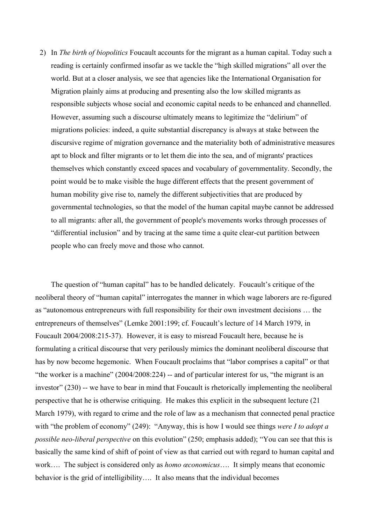2) In *The birth of biopolitics* Foucault accounts for the migrant as a human capital. Today such a reading is certainly confirmed insofar as we tackle the "high skilled migrations" all over the world. But at a closer analysis, we see that agencies like the International Organisation for Migration plainly aims at producing and presenting also the low skilled migrants as responsible subjects whose social and economic capital needs to be enhanced and channelled. However, assuming such a discourse ultimately means to legitimize the "delirium" of migrations policies: indeed, a quite substantial discrepancy is always at stake between the discursive regime of migration governance and the materiality both of administrative measures apt to block and filter migrants or to let them die into the sea, and of migrants' practices themselves which constantly exceed spaces and vocabulary of governmentality. Secondly, the point would be to make visible the huge different effects that the present government of human mobility give rise to, namely the different subjectivities that are produced by governmental technologies, so that the model of the human capital maybe cannot be addressed to all migrants: after all, the government of people's movements works through processes of "differential inclusion" and by tracing at the same time a quite clear-cut partition between people who can freely move and those who cannot.

The question of "human capital" has to be handled delicately. Foucault's critique of the neoliberal theory of "human capital" interrogates the manner in which wage laborers are re-figured as "autonomous entrepreneurs with full responsibility for their own investment decisions … the entrepreneurs of themselves" (Lemke 2001:199; cf. Foucault's lecture of 14 March 1979, in Foucault 2004/2008:215-37). However, it is easy to misread Foucault here, because he is formulating a critical discourse that very perilously mimics the dominant neoliberal discourse that has by now become hegemonic. When Foucault proclaims that "labor comprises a capital" or that "the worker is a machine" (2004/2008:224) -- and of particular interest for us, "the migrant is an investor" (230) -- we have to bear in mind that Foucault is rhetorically implementing the neoliberal perspective that he is otherwise critiquing. He makes this explicit in the subsequent lecture (21 March 1979), with regard to crime and the role of law as a mechanism that connected penal practice with "the problem of economy" (249): "Anyway, this is how I would see things *were I to adopt a possible neo-liberal perspective* on this evolution" (250; emphasis added); "You can see that this is basically the same kind of shift of point of view as that carried out with regard to human capital and work…. The subject is considered only as *homo œconomicus*…. It simply means that economic behavior is the grid of intelligibility…. It also means that the individual becomes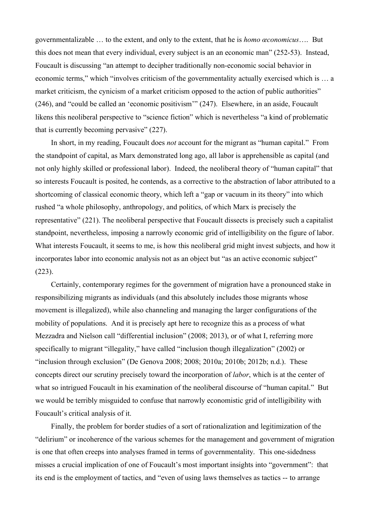governmentalizable … to the extent, and only to the extent, that he is *homo œconomicus*…. But this does not mean that every individual, every subject is an an economic man" (252-53). Instead, Foucault is discussing "an attempt to decipher traditionally non-economic social behavior in economic terms," which "involves criticism of the governmentality actually exercised which is … a market criticism, the cynicism of a market criticism opposed to the action of public authorities" (246), and "could be called an 'economic positivism'" (247). Elsewhere, in an aside, Foucault likens this neoliberal perspective to "science fiction" which is nevertheless "a kind of problematic that is currently becoming pervasive" (227).

In short, in my reading, Foucault does *not* account for the migrant as "human capital." From the standpoint of capital, as Marx demonstrated long ago, all labor is apprehensible as capital (and not only highly skilled or professional labor). Indeed, the neoliberal theory of "human capital" that so interests Foucault is posited, he contends, as a corrective to the abstraction of labor attributed to a shortcoming of classical economic theory, which left a "gap or vacuum in its theory" into which rushed "a whole philosophy, anthropology, and politics, of which Marx is precisely the representative" (221). The neoliberal perspective that Foucault dissects is precisely such a capitalist standpoint, nevertheless, imposing a narrowly economic grid of intelligibility on the figure of labor. What interests Foucault, it seems to me, is how this neoliberal grid might invest subjects, and how it incorporates labor into economic analysis not as an object but "as an active economic subject" (223).

Certainly, contemporary regimes for the government of migration have a pronounced stake in responsibilizing migrants as individuals (and this absolutely includes those migrants whose movement is illegalized), while also channeling and managing the larger configurations of the mobility of populations. And it is precisely apt here to recognize this as a process of what Mezzadra and Nielson call "differential inclusion" (2008; 2013), or of what I, referring more specifically to migrant "illegality," have called "inclusion though illegalization" (2002) or "inclusion through exclusion" (De Genova 2008; 2008; 2010a; 2010b; 2012b; n.d.). These concepts direct our scrutiny precisely toward the incorporation of *labor*, which is at the center of what so intrigued Foucault in his examination of the neoliberal discourse of "human capital." But we would be terribly misguided to confuse that narrowly economistic grid of intelligibility with Foucault's critical analysis of it.

Finally, the problem for border studies of a sort of rationalization and legitimization of the "delirium" or incoherence of the various schemes for the management and government of migration is one that often creeps into analyses framed in terms of governmentality. This one-sidedness misses a crucial implication of one of Foucault's most important insights into "government": that its end is the employment of tactics, and "even of using laws themselves as tactics -- to arrange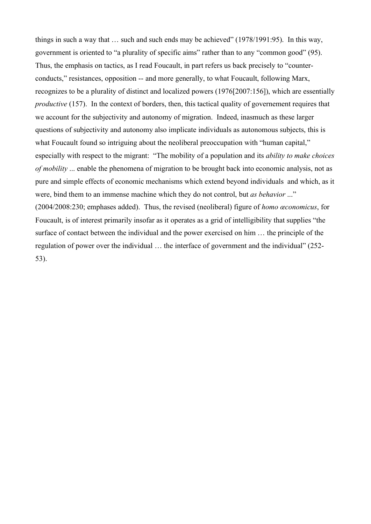things in such a way that … such and such ends may be achieved" (1978/1991:95). In this way, government is oriented to "a plurality of specific aims" rather than to any "common good" (95). Thus, the emphasis on tactics, as I read Foucault, in part refers us back precisely to "counterconducts," resistances, opposition -- and more generally, to what Foucault, following Marx, recognizes to be a plurality of distinct and localized powers (1976[2007:156]), which are essentially *productive* (157). In the context of borders, then, this tactical quality of governement requires that we account for the subjectivity and autonomy of migration. Indeed, inasmuch as these larger questions of subjectivity and autonomy also implicate individuals as autonomous subjects, this is what Foucault found so intriguing about the neoliberal preoccupation with "human capital," especially with respect to the migrant: "The mobility of a population and its *ability to make choices of mobility* ... enable the phenomena of migration to be brought back into economic analysis, not as pure and simple effects of economic mechanisms which extend beyond individuals and which, as it were, bind them to an immense machine which they do not control, but *as behavior* ..." (2004/2008:230; emphases added). Thus, the revised (neoliberal) figure of *homo œconomicus*, for Foucault, is of interest primarily insofar as it operates as a grid of intelligibility that supplies "the surface of contact between the individual and the power exercised on him … the principle of the regulation of power over the individual … the interface of government and the individual" (252- 53).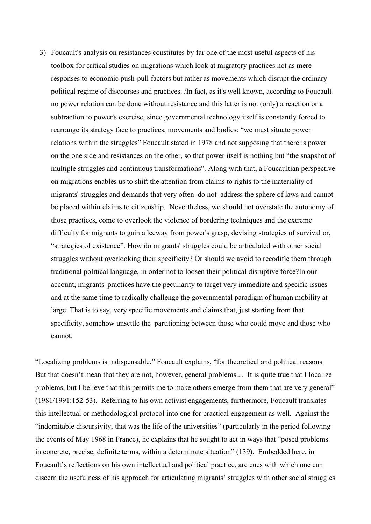3) Foucault's analysis on resistances constitutes by far one of the most useful aspects of his toolbox for critical studies on migrations which look at migratory practices not as mere responses to economic push-pull factors but rather as movements which disrupt the ordinary political regime of discourses and practices. /In fact, as it's well known, according to Foucault no power relation can be done without resistance and this latter is not (only) a reaction or a subtraction to power's exercise, since governmental technology itself is constantly forced to rearrange its strategy face to practices, movements and bodies: "we must situate power relations within the struggles" Foucault stated in 1978 and not supposing that there is power on the one side and resistances on the other, so that power itself is nothing but "the snapshot of multiple struggles and continuous transformations". Along with that, a Foucaultian perspective on migrations enables us to shift the attention from claims to rights to the materiality of migrants' struggles and demands that very often do not address the sphere of laws and cannot be placed within claims to citizenship. Nevertheless, we should not overstate the autonomy of those practices, come to overlook the violence of bordering techniques and the extreme difficulty for migrants to gain a leeway from power's grasp, devising strategies of survival or, "strategies of existence". How do migrants' struggles could be articulated with other social struggles without overlooking their specificity? Or should we avoid to recodifie them through traditional political language, in order not to loosen their political disruptive force?In our account, migrants' practices have the peculiarity to target very immediate and specific issues and at the same time to radically challenge the governmental paradigm of human mobility at large. That is to say, very specific movements and claims that, just starting from that specificity, somehow unsettle the partitioning between those who could move and those who cannot.

"Localizing problems is indispensable," Foucault explains, "for theoretical and political reasons. But that doesn't mean that they are not, however, general problems.... It is quite true that I localize problems, but I believe that this permits me to make others emerge from them that are very general" (1981/1991:152-53). Referring to his own activist engagements, furthermore, Foucault translates this intellectual or methodological protocol into one for practical engagement as well. Against the "indomitable discursivity, that was the life of the universities" (particularly in the period following the events of May 1968 in France), he explains that he sought to act in ways that "posed problems in concrete, precise, definite terms, within a determinate situation" (139). Embedded here, in Foucault's reflections on his own intellectual and political practice, are cues with which one can discern the usefulness of his approach for articulating migrants' struggles with other social struggles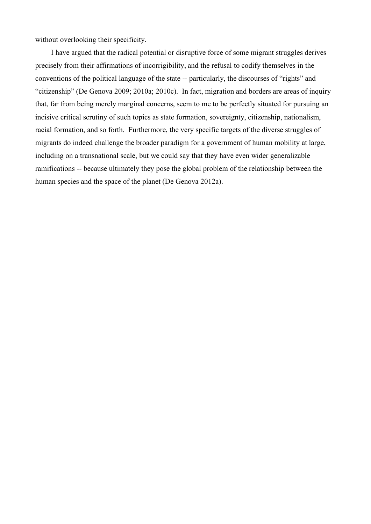without overlooking their specificity.

I have argued that the radical potential or disruptive force of some migrant struggles derives precisely from their affirmations of incorrigibility, and the refusal to codify themselves in the conventions of the political language of the state -- particularly, the discourses of "rights" and "citizenship" (De Genova 2009; 2010a; 2010c). In fact, migration and borders are areas of inquiry that, far from being merely marginal concerns, seem to me to be perfectly situated for pursuing an incisive critical scrutiny of such topics as state formation, sovereignty, citizenship, nationalism, racial formation, and so forth. Furthermore, the very specific targets of the diverse struggles of migrants do indeed challenge the broader paradigm for a government of human mobility at large, including on a transnational scale, but we could say that they have even wider generalizable ramifications -- because ultimately they pose the global problem of the relationship between the human species and the space of the planet (De Genova 2012a).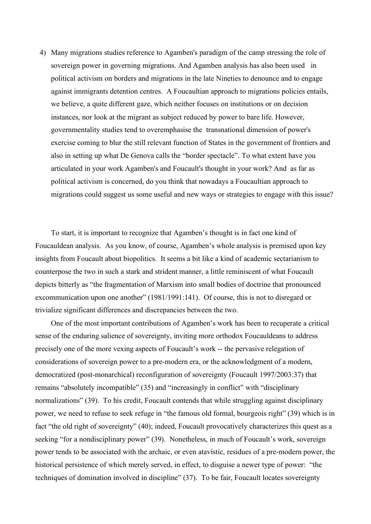4) Many migrations studies reference to Agamben's paradigm of the camp stressing the role of sovereign power in governing migrations. And Agamben analysis has also been used in political activism on borders and migrations in the late Nineties to denounce and to engage against immigrants detention centres. A Foucaultian approach to migrations policies entails, we believe, a quite different gaze, which neither focuses on institutions or on decision instances, nor look at the migrant as subject reduced by power to bare life. However, governmentality studies tend to overemphasise the transnational dimension of power's exercise coming to blur the still relevant function of States in the government of frontiers and also in setting up what De Genova calls the "border spectacle". To what extent have you articulated in your work Agamben's and Foucault's thought in your work? And as far as political activism is concerned, do you think that nowadays a Foucaultian approach to migrations could suggest us some useful and new ways or strategies to engage with this issue?

To start, it is important to recognize that Agamben's thought is in fact one kind of Foucauldean analysis. As you know, of course, Agamben's whole analysis is premised upon key insights from Foucault about biopolitics. It seems a bit like a kind of academic sectarianism to counterpose the two in such a stark and strident manner, a little reminiscent of what Foucault depicts bitterly as "the fragmentation of Marxism into small bodies of doctrine that pronounced excommunication upon one another" (1981/1991:141). Of course, this is not to disregard or trivialize significant differences and discrepancies between the two.

One of the most important contributions of Agamben's work has been to recuperate a critical sense of the enduring salience of sovereignty, inviting more orthodox Foucauldeans to address precisely one of the more vexing aspects of Foucault's work -- the pervasive relegation of considerations of sovereign power to a pre-modern era, or the acknowledgment of a modern, democratized (post-monarchical) reconfiguration of sovereignty (Foucault 1997/2003:37) that remains "absolutely incompatible" (35) and "increasingly in conflict" with "disciplinary normalizations" (39). To his credit, Foucault contends that while struggling against disciplinary power, we need to refuse to seek refuge in "the famous old formal, bourgeois right" (39) which is in fact "the old right of sovereignty" (40); indeed, Foucault provocatively characterizes this quest as a seeking "for a nondisciplinary power" (39). Nonetheless, in much of Foucault's work, sovereign power tends to be associated with the archaic, or even atavistic, residues of a pre-modern power, the historical persistence of which merely served, in effect, to disguise a newer type of power: "the techniques of domination involved in discipline" (37). To be fair, Foucault locates sovereignty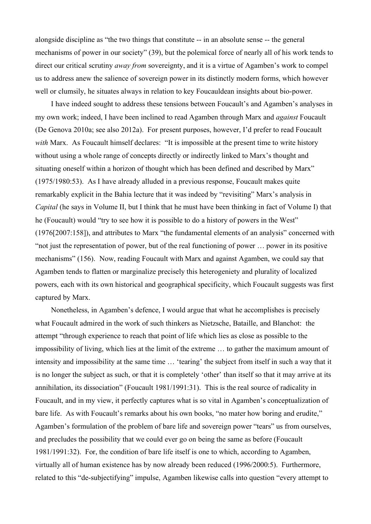alongside discipline as "the two things that constitute -- in an absolute sense -- the general mechanisms of power in our society" (39), but the polemical force of nearly all of his work tends to direct our critical scrutiny *away from* sovereignty, and it is a virtue of Agamben's work to compel us to address anew the salience of sovereign power in its distinctly modern forms, which however well or clumsily, he situates always in relation to key Foucauldean insights about bio-power.

I have indeed sought to address these tensions between Foucault's and Agamben's analyses in my own work; indeed, I have been inclined to read Agamben through Marx and *against* Foucault (De Genova 2010a; see also 2012a). For present purposes, however, I'd prefer to read Foucault *with* Marx. As Foucault himself declares: "It is impossible at the present time to write history without using a whole range of concepts directly or indirectly linked to Marx's thought and situating oneself within a horizon of thought which has been defined and described by Marx" (1975/1980:53). As I have already alluded in a previous response, Foucault makes quite remarkably explicit in the Bahia lecture that it was indeed by "revisiting" Marx's analysis in *Capital* (he says in Volume II, but I think that he must have been thinking in fact of Volume I) that he (Foucault) would "try to see how it is possible to do a history of powers in the West" (1976[2007:158]), and attributes to Marx "the fundamental elements of an analysis" concerned with "not just the representation of power, but of the real functioning of power … power in its positive mechanisms" (156). Now, reading Foucault with Marx and against Agamben, we could say that Agamben tends to flatten or marginalize precisely this heterogeniety and plurality of localized powers, each with its own historical and geographical specificity, which Foucault suggests was first captured by Marx.

Nonetheless, in Agamben's defence, I would argue that what he accomplishes is precisely what Foucault admired in the work of such thinkers as Nietzsche, Bataille, and Blanchot: the attempt "through experience to reach that point of life which lies as close as possible to the impossibility of living, which lies at the limit of the extreme … to gather the maximum amount of intensity and impossibility at the same time … 'tearing' the subject from itself in such a way that it is no longer the subject as such, or that it is completely 'other' than itself so that it may arrive at its annihilation, its dissociation" (Foucault 1981/1991:31). This is the real source of radicality in Foucault, and in my view, it perfectly captures what is so vital in Agamben's conceptualization of bare life. As with Foucault's remarks about his own books, "no mater how boring and erudite," Agamben's formulation of the problem of bare life and sovereign power "tears" us from ourselves, and precludes the possibility that we could ever go on being the same as before (Foucault 1981/1991:32). For, the condition of bare life itself is one to which, according to Agamben, virtually all of human existence has by now already been reduced (1996/2000:5). Furthermore, related to this "de-subjectifying" impulse, Agamben likewise calls into question "every attempt to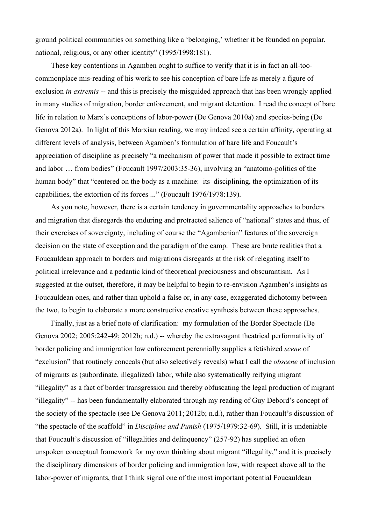ground political communities on something like a 'belonging,' whether it be founded on popular, national, religious, or any other identity" (1995/1998:181).

These key contentions in Agamben ought to suffice to verify that it is in fact an all-toocommonplace mis-reading of his work to see his conception of bare life as merely a figure of exclusion *in extremis* -- and this is precisely the misguided approach that has been wrongly applied in many studies of migration, border enforcement, and migrant detention. I read the concept of bare life in relation to Marx's conceptions of labor-power (De Genova 2010a) and species-being (De Genova 2012a). In light of this Marxian reading, we may indeed see a certain affinity, operating at different levels of analysis, between Agamben's formulation of bare life and Foucault's appreciation of discipline as precisely "a mechanism of power that made it possible to extract time and labor … from bodies" (Foucault 1997/2003:35-36), involving an "anatomo-politics of the human body" that "centered on the body as a machine: its disciplining, the optimization of its capabilities, the extortion of its forces ..." (Foucault 1976/1978:139).

As you note, however, there is a certain tendency in governmentality approaches to borders and migration that disregards the enduring and protracted salience of "national" states and thus, of their exercises of sovereignty, including of course the "Agambenian" features of the sovereign decision on the state of exception and the paradigm of the camp. These are brute realities that a Foucauldean approach to borders and migrations disregards at the risk of relegating itself to political irrelevance and a pedantic kind of theoretical preciousness and obscurantism. As I suggested at the outset, therefore, it may be helpful to begin to re-envision Agamben's insights as Foucauldean ones, and rather than uphold a false or, in any case, exaggerated dichotomy between the two, to begin to elaborate a more constructive creative synthesis between these approaches.

Finally, just as a brief note of clarification: my formulation of the Border Spectacle (De Genova 2002; 2005:242-49; 2012b; n.d.) -- whereby the extravagant theatrical performativity of border policing and immigration law enforcement perennially supplies a fetishized *scene* of "exclusion" that routinely conceals (but also selectively reveals) what I call the *obscene* of inclusion of migrants as (subordinate, illegalized) labor, while also systematically reifying migrant "illegality" as a fact of border transgression and thereby obfuscating the legal production of migrant "illegality" -- has been fundamentally elaborated through my reading of Guy Debord's concept of the society of the spectacle (see De Genova 2011; 2012b; n.d.), rather than Foucault's discussion of "the spectacle of the scaffold" in *Discipline and Punish* (1975/1979:32-69). Still, it is undeniable that Foucault's discussion of "illegalities and delinquency" (257-92) has supplied an often unspoken conceptual framework for my own thinking about migrant "illegality," and it is precisely the disciplinary dimensions of border policing and immigration law, with respect above all to the labor-power of migrants, that I think signal one of the most important potential Foucauldean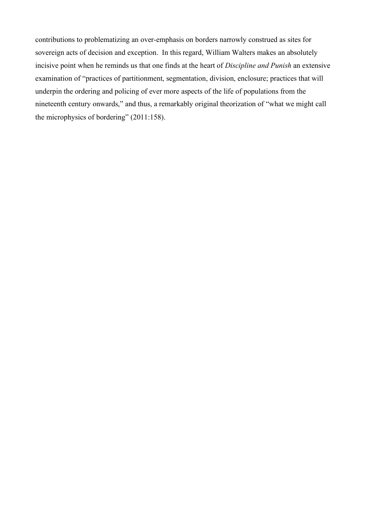contributions to problematizing an over-emphasis on borders narrowly construed as sites for sovereign acts of decision and exception. In this regard, William Walters makes an absolutely incisive point when he reminds us that one finds at the heart of *Discipline and Punish* an extensive examination of "practices of partitionment, segmentation, division, enclosure; practices that will underpin the ordering and policing of ever more aspects of the life of populations from the nineteenth century onwards," and thus, a remarkably original theorization of "what we might call the microphysics of bordering" (2011:158).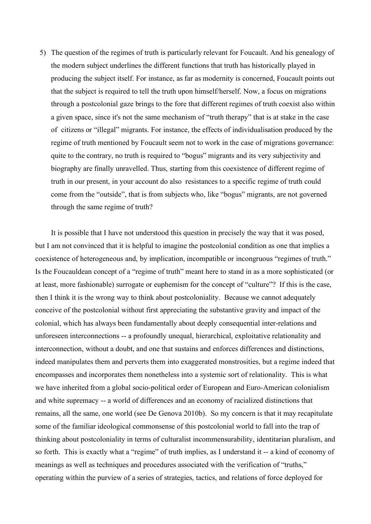5) The question of the regimes of truth is particularly relevant for Foucault. And his genealogy of the modern subject underlines the different functions that truth has historically played in producing the subject itself. For instance, as far as modernity is concerned, Foucault points out that the subject is required to tell the truth upon himself/herself. Now, a focus on migrations through a postcolonial gaze brings to the fore that different regimes of truth coexist also within a given space, since it's not the same mechanism of "truth therapy" that is at stake in the case of citizens or "illegal" migrants. For instance, the effects of individualisation produced by the regime of truth mentioned by Foucault seem not to work in the case of migrations governance: quite to the contrary, no truth is required to "bogus" migrants and its very subjectivity and biography are finally unravelled. Thus, starting from this coexistence of different regime of truth in our present, in your account do also resistances to a specific regime of truth could come from the "outside", that is from subjects who, like "bogus" migrants, are not governed through the same regime of truth?

It is possible that I have not understood this question in precisely the way that it was posed, but I am not convinced that it is helpful to imagine the postcolonial condition as one that implies a coexistence of heterogeneous and, by implication, incompatible or incongruous "regimes of truth." Is the Foucauldean concept of a "regime of truth" meant here to stand in as a more sophisticated (or at least, more fashionable) surrogate or euphemism for the concept of "culture"? If this is the case, then I think it is the wrong way to think about postcoloniality. Because we cannot adequately conceive of the postcolonial without first appreciating the substantive gravity and impact of the colonial, which has always been fundamentally about deeply consequential inter-relations and unforeseen interconnections -- a profoundly unequal, hierarchical, exploitative relationality and interconnection, without a doubt, and one that sustains and enforces differences and distinctions, indeed manipulates them and perverts them into exaggerated monstrosities, but a regime indeed that encompasses and incorporates them nonetheless into a systemic sort of relationality. This is what we have inherited from a global socio-political order of European and Euro-American colonialism and white supremacy -- a world of differences and an economy of racialized distinctions that remains, all the same, one world (see De Genova 2010b). So my concern is that it may recapitulate some of the familiar ideological commonsense of this postcolonial world to fall into the trap of thinking about postcoloniality in terms of culturalist incommensurability, identitarian pluralism, and so forth. This is exactly what a "regime" of truth implies, as I understand it -- a kind of economy of meanings as well as techniques and procedures associated with the verification of "truths," operating within the purview of a series of strategies, tactics, and relations of force deployed for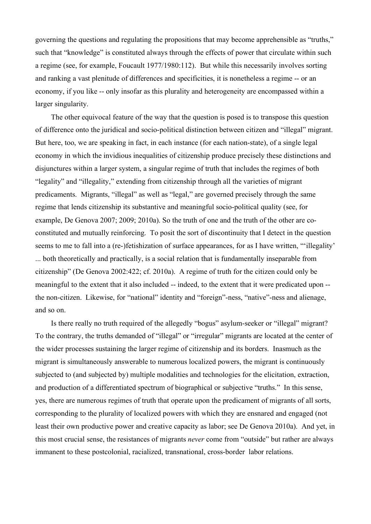governing the questions and regulating the propositions that may become apprehensible as "truths," such that "knowledge" is constituted always through the effects of power that circulate within such a regime (see, for example, Foucault 1977/1980:112). But while this necessarily involves sorting and ranking a vast plenitude of differences and specificities, it is nonetheless a regime -- or an economy, if you like -- only insofar as this plurality and heterogeneity are encompassed within a larger singularity.

The other equivocal feature of the way that the question is posed is to transpose this question of difference onto the juridical and socio-political distinction between citizen and "illegal" migrant. But here, too, we are speaking in fact, in each instance (for each nation-state), of a single legal economy in which the invidious inequalities of citizenship produce precisely these distinctions and disjunctures within a larger system, a singular regime of truth that includes the regimes of both "legality" and "illegality," extending from citizenship through all the varieties of migrant predicaments. Migrants, "illegal" as well as "legal," are governed precisely through the same regime that lends citizenship its substantive and meaningful socio-political quality (see, for example, De Genova 2007; 2009; 2010a). So the truth of one and the truth of the other are coconstituted and mutually reinforcing. To posit the sort of discontinuity that I detect in the question seems to me to fall into a (re-)fetishization of surface appearances, for as I have written, "'illegality' ... both theoretically and practically, is a social relation that is fundamentally inseparable from citizenship" (De Genova 2002:422; cf. 2010a). A regime of truth for the citizen could only be meaningful to the extent that it also included -- indeed, to the extent that it were predicated upon - the non-citizen. Likewise, for "national" identity and "foreign"-ness, "native"-ness and alienage, and so on.

Is there really no truth required of the allegedly "bogus" asylum-seeker or "illegal" migrant? To the contrary, the truths demanded of "illegal" or "irregular" migrants are located at the center of the wider processes sustaining the larger regime of citizenship and its borders. Inasmuch as the migrant is simultaneously answerable to numerous localized powers, the migrant is continuously subjected to (and subjected by) multiple modalities and technologies for the elicitation, extraction, and production of a differentiated spectrum of biographical or subjective "truths." In this sense, yes, there are numerous regimes of truth that operate upon the predicament of migrants of all sorts, corresponding to the plurality of localized powers with which they are ensnared and engaged (not least their own productive power and creative capacity as labor; see De Genova 2010a). And yet, in this most crucial sense, the resistances of migrants *never* come from "outside" but rather are always immanent to these postcolonial, racialized, transnational, cross-border labor relations.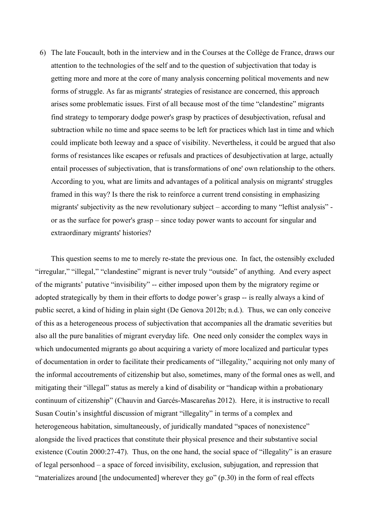6) The late Foucault, both in the interview and in the Courses at the Collège de France, draws our attention to the technologies of the self and to the question of subjectivation that today is getting more and more at the core of many analysis concerning political movements and new forms of struggle. As far as migrants' strategies of resistance are concerned, this approach arises some problematic issues. First of all because most of the time "clandestine" migrants find strategy to temporary dodge power's grasp by practices of desubjectivation, refusal and subtraction while no time and space seems to be left for practices which last in time and which could implicate both leeway and a space of visibility. Nevertheless, it could be argued that also forms of resistances like escapes or refusals and practices of desubjectivation at large, actually entail processes of subjectivation, that is transformations of one' own relationship to the others. According to you, what are limits and advantages of a political analysis on migrants' struggles framed in this way? Is there the risk to reinforce a current trend consisting in emphasizing migrants' subjectivity as the new revolutionary subject – according to many "leftist analysis" or as the surface for power's grasp – since today power wants to account for singular and extraordinary migrants' histories?

This question seems to me to merely re-state the previous one. In fact, the ostensibly excluded "irregular," "illegal," "clandestine" migrant is never truly "outside" of anything. And every aspect of the migrants' putative "invisibility" -- either imposed upon them by the migratory regime or adopted strategically by them in their efforts to dodge power's grasp -- is really always a kind of public secret, a kind of hiding in plain sight (De Genova 2012b; n.d.). Thus, we can only conceive of this as a heterogeneous process of subjectivation that accompanies all the dramatic severities but also all the pure banalities of migrant everyday life. One need only consider the complex ways in which undocumented migrants go about acquiring a variety of more localized and particular types of documentation in order to facilitate their predicaments of "illegality," acquiring not only many of the informal accoutrements of citizenship but also, sometimes, many of the formal ones as well, and mitigating their "illegal" status as merely a kind of disability or "handicap within a probationary continuum of citizenship" (Chauvin and Garcés-Mascareñas 2012). Here, it is instructive to recall Susan Coutin's insightful discussion of migrant "illegality" in terms of a complex and heterogeneous habitation, simultaneously, of juridically mandated "spaces of nonexistence" alongside the lived practices that constitute their physical presence and their substantive social existence (Coutin 2000:27-47). Thus, on the one hand, the social space of "illegality" is an erasure of legal personhood – a space of forced invisibility, exclusion, subjugation, and repression that "materializes around [the undocumented] wherever they go" (p.30) in the form of real effects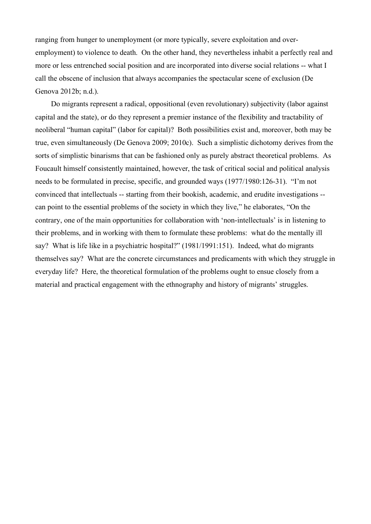ranging from hunger to unemployment (or more typically, severe exploitation and overemployment) to violence to death. On the other hand, they nevertheless inhabit a perfectly real and more or less entrenched social position and are incorporated into diverse social relations -- what I call the obscene of inclusion that always accompanies the spectacular scene of exclusion (De Genova 2012b; n.d.).

Do migrants represent a radical, oppositional (even revolutionary) subjectivity (labor against capital and the state), or do they represent a premier instance of the flexibility and tractability of neoliberal "human capital" (labor for capital)? Both possibilities exist and, moreover, both may be true, even simultaneously (De Genova 2009; 2010c). Such a simplistic dichotomy derives from the sorts of simplistic binarisms that can be fashioned only as purely abstract theoretical problems. As Foucault himself consistently maintained, however, the task of critical social and political analysis needs to be formulated in precise, specific, and grounded ways (1977/1980:126-31). "I'm not convinced that intellectuals -- starting from their bookish, academic, and erudite investigations - can point to the essential problems of the society in which they live," he elaborates, "On the contrary, one of the main opportunities for collaboration with 'non-intellectuals' is in listening to their problems, and in working with them to formulate these problems: what do the mentally ill say? What is life like in a psychiatric hospital?" (1981/1991:151). Indeed, what do migrants themselves say? What are the concrete circumstances and predicaments with which they struggle in everyday life? Here, the theoretical formulation of the problems ought to ensue closely from a material and practical engagement with the ethnography and history of migrants' struggles.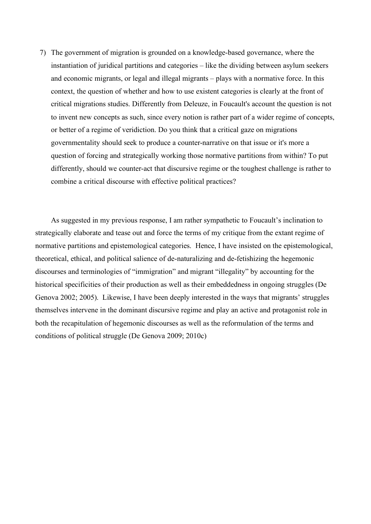7) The government of migration is grounded on a knowledge-based governance, where the instantiation of juridical partitions and categories – like the dividing between asylum seekers and economic migrants, or legal and illegal migrants – plays with a normative force. In this context, the question of whether and how to use existent categories is clearly at the front of critical migrations studies. Differently from Deleuze, in Foucault's account the question is not to invent new concepts as such, since every notion is rather part of a wider regime of concepts, or better of a regime of veridiction. Do you think that a critical gaze on migrations governmentality should seek to produce a counter-narrative on that issue or it's more a question of forcing and strategically working those normative partitions from within? To put differently, should we counter-act that discursive regime or the toughest challenge is rather to combine a critical discourse with effective political practices?

As suggested in my previous response, I am rather sympathetic to Foucault's inclination to strategically elaborate and tease out and force the terms of my critique from the extant regime of normative partitions and epistemological categories. Hence, I have insisted on the epistemological, theoretical, ethical, and political salience of de-naturalizing and de-fetishizing the hegemonic discourses and terminologies of "immigration" and migrant "illegality" by accounting for the historical specificities of their production as well as their embeddedness in ongoing struggles (De Genova 2002; 2005). Likewise, I have been deeply interested in the ways that migrants' struggles themselves intervene in the dominant discursive regime and play an active and protagonist role in both the recapitulation of hegemonic discourses as well as the reformulation of the terms and conditions of political struggle (De Genova 2009; 2010c)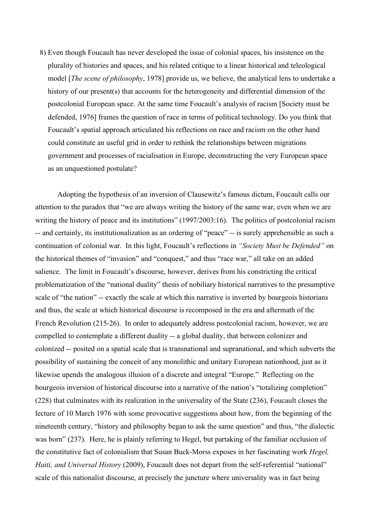8) Even though Foucault has never developed the issue of colonial spaces, his insistence on the plurality of histories and spaces, and his related critique to a linear historical and teleological model [*The scene of philosophy*, 1978] provide us, we believe, the analytical lens to undertake a history of our present(s) that accounts for the heterogeneity and differential dimension of the postcolonial European space. At the same time Foucault's analysis of racism [Society must be defended, 1976] frames the question of race in terms of political technology. Do you think that Foucault's spatial approach articulated his reflections on race and racism on the other hand could constitute an useful grid in order to rethink the relationships between migrations government and processes of racialisation in Europe, deconstructing the very European space as an unquestioned postulate?

Adopting the hypothesis of an inversion of Clausewitz's famous dictum, Foucault calls our attention to the paradox that "we are always writing the history of the same war, even when we are writing the history of peace and its institutions" (1997/2003:16). The politics of postcolonial racism -- and certainly, its institutionalization as an ordering of "peace" -- is surely apprehensible as such a continuation of colonial war. In this light, Foucault's reflections in *"Society Must be Defended"* on the historical themes of "invasion" and "conquest," and thus "race war," all take on an added salience. The limit in Foucault's discourse, however, derives from his constricting the critical problematization of the "national duality" thesis of nobiliary historical narratives to the presumptive scale of "the nation" -- exactly the scale at which this narrative is inverted by bourgeois historians and thus, the scale at which historical discourse is recomposed in the era and aftermath of the French Revolution (215-26). In order to adequately address postcolonial racism, however, we are compelled to contemplate a different duality -- a global duality, that between colonizer and colonized -- posited on a spatial scale that is transnational and supranational, and which subverts the possibility of sustaining the conceit of any monolithic and unitary European nationhood, just as it likewise upends the analogous illusion of a discrete and integral "Europe." Reflecting on the bourgeois inversion of historical discourse into a narrative of the nation's "totalizing completion" (228) that culminates with its realization in the universality of the State (236), Foucault closes the lecture of 10 March 1976 with some provocative suggestions about how, from the beginning of the nineteenth century, "history and philosophy began to ask the same question" and thus, "the dialectic was born" (237). Here, he is plainly referring to Hegel, but partaking of the familiar occlusion of the constitutive fact of colonialism that Susan Buck-Morss exposes in her fascinating work *Hegel, Haiti, and Universal History* (2009), Foucault does not depart from the self-referential "national" scale of this nationalist discourse, at precisely the juncture where universality was in fact being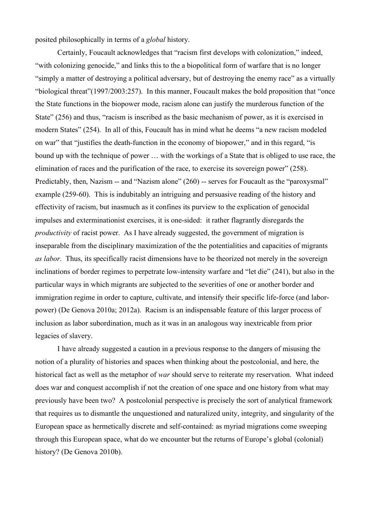posited philosophically in terms of a *global* history.

Certainly, Foucault acknowledges that "racism first develops with colonization," indeed, "with colonizing genocide," and links this to the a biopolitical form of warfare that is no longer "simply a matter of destroying a political adversary, but of destroying the enemy race" as a virtually "biological threat"(1997/2003:257). In this manner, Foucault makes the bold proposition that "once the State functions in the biopower mode, racism alone can justify the murderous function of the State" (256) and thus, "racism is inscribed as the basic mechanism of power, as it is exercised in modern States" (254). In all of this, Foucault has in mind what he deems "a new racism modeled on war" that "justifies the death-function in the economy of biopower," and in this regard, "is bound up with the technique of power … with the workings of a State that is obliged to use race, the elimination of races and the purification of the race, to exercise its sovereign power" (258). Predictably, then, Nazism -- and "Nazism alone" (260) -- serves for Foucault as the "paroxysmal" example (259-60). This is indubitably an intriguing and persuasive reading of the history and effectivity of racism, but inasmuch as it confines its purview to the explication of genocidal impulses and exterminationist exercises, it is one-sided: it rather flagrantly disregards the *productivity* of racist power. As I have already suggested, the government of migration is inseparable from the disciplinary maximization of the the potentialities and capacities of migrants *as labor*. Thus, its specifically racist dimensions have to be theorized not merely in the sovereign inclinations of border regimes to perpetrate low-intensity warfare and "let die" (241), but also in the particular ways in which migrants are subjected to the severities of one or another border and immigration regime in order to capture, cultivate, and intensify their specific life-force (and laborpower) (De Genova 2010a; 2012a). Racism is an indispensable feature of this larger process of inclusion as labor subordination, much as it was in an analogous way inextricable from prior legacies of slavery.

I have already suggested a caution in a previous response to the dangers of misusing the notion of a plurality of histories and spaces when thinking about the postcolonial, and here, the historical fact as well as the metaphor of *war* should serve to reiterate my reservation. What indeed does war and conquest accomplish if not the creation of one space and one history from what may previously have been two? A postcolonial perspective is precisely the sort of analytical framework that requires us to dismantle the unquestioned and naturalized unity, integrity, and singularity of the European space as hermetically discrete and self-contained: as myriad migrations come sweeping through this European space, what do we encounter but the returns of Europe's global (colonial) history? (De Genova 2010b).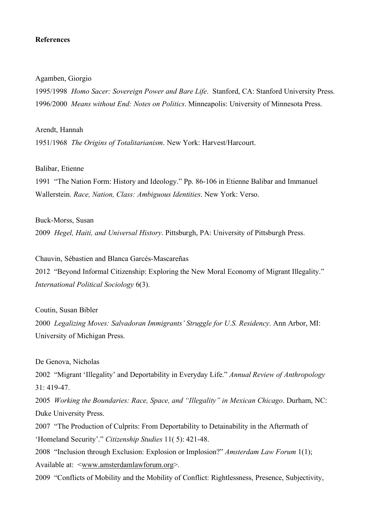### **References**

Agamben, Giorgio

1995/1998 *Homo Sacer: Sovereign Power and Bare Life*. Stanford, CA: Stanford University Press. 1996/2000 *Means without End: Notes on Politics*. Minneapolis: University of Minnesota Press.

Arendt, Hannah

1951/1968 *The Origins of Totalitarianism*. New York: Harvest/Harcourt.

Balibar, Etienne

1991 "The Nation Form: History and Ideology." Pp. 86-106 in Etienne Balibar and Immanuel Wallerstein. *Race, Nation, Class: Ambiguous Identities*. New York: Verso.

Buck-Morss, Susan 2009 *Hegel, Haiti, and Universal History*. Pittsburgh, PA: University of Pittsburgh Press.

Chauvin, Sébastien and Blanca Garcés-Mascareñas 2012 "Beyond Informal Citizenship: Exploring the New Moral Economy of Migrant Illegality." *International Political Sociology* 6(3).

Coutin, Susan Bibler

2000 *Legalizing Moves: Salvadoran Immigrants' Struggle for U.S. Residency*. Ann Arbor, MI: University of Michigan Press.

De Genova, Nicholas

2002 "Migrant 'Illegality' and Deportability in Everyday Life." *Annual Review of Anthropology* 31: 419-47.

2005 *Working the Boundaries: Race, Space, and "Illegality" in Mexican Chicago*. Durham, NC: Duke University Press.

2007 "The Production of Culprits: From Deportability to Detainability in the Aftermath of 'Homeland Security'." *Citizenship Studies* 11( 5): 421-48.

2008 "Inclusion through Exclusion: Explosion or Implosion?" *Amsterdam Law Forum* 1(1); Available at: <www.amsterdamlawforum.org>.

2009 "Conflicts of Mobility and the Mobility of Conflict: Rightlessness, Presence, Subjectivity,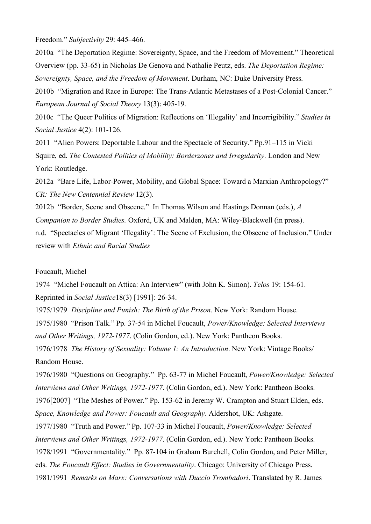Freedom." *Subjectivity* 29: 445–466.

2010a "The Deportation Regime: Sovereignty, Space, and the Freedom of Movement." Theoretical Overview (pp. 33-65) in Nicholas De Genova and Nathalie Peutz, eds. *The Deportation Regime: Sovereignty, Space, and the Freedom of Movement*. Durham, NC: Duke University Press.

2010b "Migration and Race in Europe: The Trans-Atlantic Metastases of a Post-Colonial Cancer." *European Journal of Social Theory* 13(3): 405-19.

2010c "The Queer Politics of Migration: Reflections on 'Illegality' and Incorrigibility." *Studies in Social Justice* 4(2): 101-126.

2011 "Alien Powers: Deportable Labour and the Spectacle of Security." Pp.91–115 in Vicki Squire, ed. *The Contested Politics of Mobility: Borderzones and Irregularity*. London and New York: Routledge.

2012a "Bare Life, Labor-Power, Mobility, and Global Space: Toward a Marxian Anthropology?" *CR: The New Centennial Review* 12(3).

2012b "Border, Scene and Obscene." In Thomas Wilson and Hastings Donnan (eds.), *A Companion to Border Studies.* Oxford, UK and Malden, MA: Wiley-Blackwell (in press).

n.d. "Spectacles of Migrant 'Illegality': The Scene of Exclusion, the Obscene of Inclusion." Under review with *Ethnic and Racial Studies*

### Foucault, Michel

1974 "Michel Foucault on Attica: An Interview" (with John K. Simon). *Telos* 19: 154-61. Reprinted in *Social Justice*18(3) [1991]: 26-34.

1975/1979 *Discipline and Punish: The Birth of the Prison*. New York: Random House.

1975/1980 "Prison Talk." Pp. 37-54 in Michel Foucault, *Power/Knowledge: Selected Interviews* 

*and Other Writings, 1972-1977*. (Colin Gordon, ed.). New York: Pantheon Books.

1976/1978 *The History of Sexuality: Volume 1: An Introduction*. New York: Vintage Books/ Random House.

1976/1980 "Questions on Geography." Pp. 63-77 in Michel Foucault, *Power/Knowledge: Selected Interviews and Other Writings, 1972-1977*. (Colin Gordon, ed.). New York: Pantheon Books. 1976[2007] "The Meshes of Power." Pp. 153-62 in Jeremy W. Crampton and Stuart Elden, eds. *Space, Knowledge and Power: Foucault and Geography*. Aldershot, UK: Ashgate. 1977/1980 "Truth and Power." Pp. 107-33 in Michel Foucault, *Power/Knowledge: Selected Interviews and Other Writings, 1972-1977*. (Colin Gordon, ed.). New York: Pantheon Books.

1978/1991 "Governmentality." Pp. 87-104 in Graham Burchell, Colin Gordon, and Peter Miller,

eds. *The Foucault Effect: Studies in Governmentality*. Chicago: University of Chicago Press.

1981/1991 *Remarks on Marx: Conversations with Duccio Trombadori*. Translated by R. James